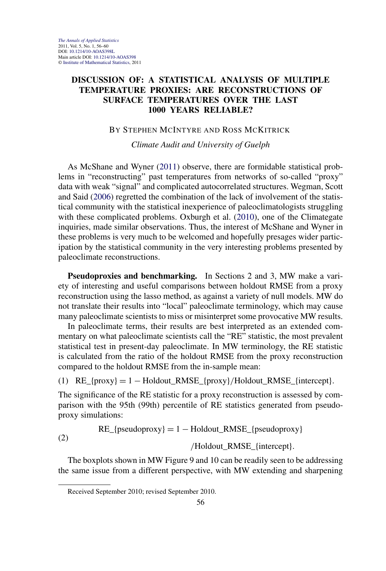# **DISCUSSION OF: A STATISTICAL ANALYSIS OF MULTIPLE TEMPERATURE PROXIES: ARE RECONSTRUCTIONS OF SURFACE TEMPERATURES OVER THE LAST 1000 YEARS RELIABLE?**

## BY STEPHEN MCINTYRE AND ROSS MCKITRICK

*Climate Audit and University of Guelph*

As McShane and Wyner [\(2011\)](#page-4-0) observe, there are formidable statistical problems in "reconstructing" past temperatures from networks of so-called "proxy" data with weak "signal" and complicated autocorrelated structures. Wegman, Scott and Said [\(2006\)](#page-4-0) regretted the combination of the lack of involvement of the statistical community with the statistical inexperience of paleoclimatologists struggling with these complicated problems. Oxburgh et al. [\(2010\)](#page-4-0), one of the Climategate inquiries, made similar observations. Thus, the interest of McShane and Wyner in these problems is very much to be welcomed and hopefully presages wider participation by the statistical community in the very interesting problems presented by paleoclimate reconstructions.

**Pseudoproxies and benchmarking.** In Sections 2 and 3, MW make a variety of interesting and useful comparisons between holdout RMSE from a proxy reconstruction using the lasso method, as against a variety of null models. MW do not translate their results into "local" paleoclimate terminology, which may cause many paleoclimate scientists to miss or misinterpret some provocative MW results.

In paleoclimate terms, their results are best interpreted as an extended commentary on what paleoclimate scientists call the "RE" statistic, the most prevalent statistical test in present-day paleoclimate. In MW terminology, the RE statistic is calculated from the ratio of the holdout RMSE from the proxy reconstruction compared to the holdout RMSE from the in-sample mean:

(1) RE\_{proxy} = 1 − Holdout\_RMSE\_{proxy}*/*Holdout\_RMSE\_{intercept}*.*

The significance of the RE statistic for a proxy reconstruction is assessed by comparison with the 95th (99th) percentile of RE statistics generated from pseudoproxy simulations:

> $RE_{\text{pseudoroxy}} = 1 - \text{Holdout\_RMSE_{\text{pseudoroxy}}$ */*Holdout\_RMSE\_{intercept}*.*

The boxplots shown in MW Figure 9 and 10 can be readily seen to be addressing the same issue from a different perspective, with MW extending and sharpening

(2)

Received September 2010; revised September 2010.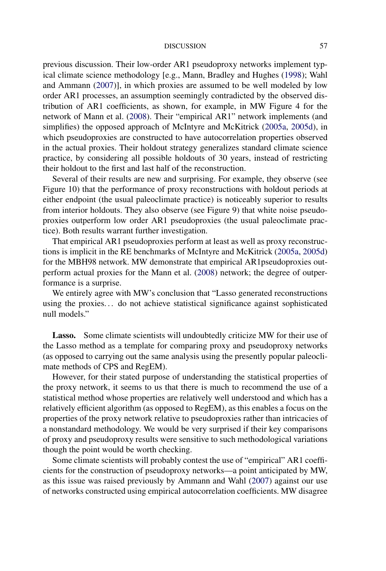#### DISCUSSION 57

previous discussion. Their low-order AR1 pseudoproxy networks implement typical climate science methodology [e.g., Mann, Bradley and Hughes [\(1998\)](#page-3-0); Wahl and Ammann [\(2007\)](#page-4-0)], in which proxies are assumed to be well modeled by low order AR1 processes, an assumption seemingly contradicted by the observed distribution of AR1 coefficients, as shown, for example, in MW Figure 4 for the network of Mann et al. [\(2008\)](#page-4-0). Their "empirical AR1" network implements (and simplifies) the opposed approach of McIntyre and McKitrick [\(2005a,](#page-4-0) [2005d\)](#page-4-0), in which pseudoproxies are constructed to have autocorrelation properties observed in the actual proxies. Their holdout strategy generalizes standard climate science practice, by considering all possible holdouts of 30 years, instead of restricting their holdout to the first and last half of the reconstruction.

Several of their results are new and surprising. For example, they observe (see Figure 10) that the performance of proxy reconstructions with holdout periods at either endpoint (the usual paleoclimate practice) is noticeably superior to results from interior holdouts. They also observe (see Figure 9) that white noise pseudoproxies outperform low order AR1 pseudoproxies (the usual paleoclimate practice). Both results warrant further investigation.

That empirical AR1 pseudoproxies perform at least as well as proxy reconstructions is implicit in the RE benchmarks of McIntyre and McKitrick [\(2005a,](#page-4-0) [2005d\)](#page-4-0) for the MBH98 network. MW demonstrate that empirical AR1pseudoproxies outperform actual proxies for the Mann et al. [\(2008\)](#page-4-0) network; the degree of outperformance is a surprise.

We entirely agree with MW's conclusion that "Lasso generated reconstructions using the proxies. . . do not achieve statistical significance against sophisticated null models."

Lasso. Some climate scientists will undoubtedly criticize MW for their use of the Lasso method as a template for comparing proxy and pseudoproxy networks (as opposed to carrying out the same analysis using the presently popular paleoclimate methods of CPS and RegEM).

However, for their stated purpose of understanding the statistical properties of the proxy network, it seems to us that there is much to recommend the use of a statistical method whose properties are relatively well understood and which has a relatively efficient algorithm (as opposed to RegEM), as this enables a focus on the properties of the proxy network relative to pseudoproxies rather than intricacies of a nonstandard methodology. We would be very surprised if their key comparisons of proxy and pseudoproxy results were sensitive to such methodological variations though the point would be worth checking.

Some climate scientists will probably contest the use of "empirical" AR1 coefficients for the construction of pseudoproxy networks—a point anticipated by MW, as this issue was raised previously by Ammann and Wahl [\(2007\)](#page-3-0) against our use of networks constructed using empirical autocorrelation coefficients. MW disagree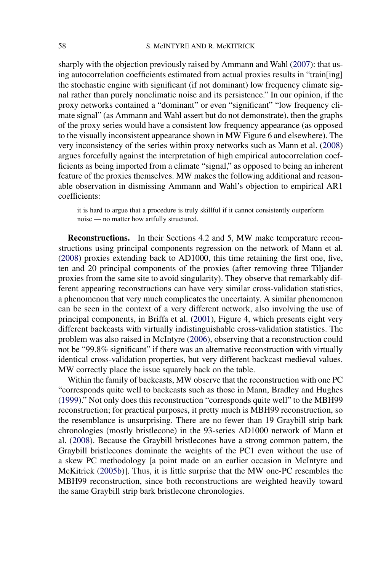sharply with the objection previously raised by Ammann and Wahl [\(2007\)](#page-3-0): that using autocorrelation coefficients estimated from actual proxies results in "train[ing] the stochastic engine with significant (if not dominant) low frequency climate signal rather than purely nonclimatic noise and its persistence." In our opinion, if the proxy networks contained a "dominant" or even "significant" "low frequency climate signal" (as Ammann and Wahl assert but do not demonstrate), then the graphs of the proxy series would have a consistent low frequency appearance (as opposed to the visually inconsistent appearance shown in MW Figure 6 and elsewhere). The very inconsistency of the series within proxy networks such as Mann et al. [\(2008\)](#page-4-0) argues forcefully against the interpretation of high empirical autocorrelation coefficients as being imported from a climate "signal," as opposed to being an inherent feature of the proxies themselves. MW makes the following additional and reasonable observation in dismissing Ammann and Wahl's objection to empirical AR1 coefficients:

it is hard to argue that a procedure is truly skillful if it cannot consistently outperform noise — no matter how artfully structured.

**Reconstructions.** In their Sections 4.2 and 5, MW make temperature reconstructions using principal components regression on the network of Mann et al. [\(2008\)](#page-4-0) proxies extending back to AD1000, this time retaining the first one, five, ten and 20 principal components of the proxies (after removing three Tiljander proxies from the same site to avoid singularity). They observe that remarkably different appearing reconstructions can have very similar cross-validation statistics, a phenomenon that very much complicates the uncertainty. A similar phenomenon can be seen in the context of a very different network, also involving the use of principal components, in Briffa et al. [\(2001\)](#page-3-0), Figure 4, which presents eight very different backcasts with virtually indistinguishable cross-validation statistics. The problem was also raised in McIntyre [\(2006\)](#page-4-0), observing that a reconstruction could not be "99.8% significant" if there was an alternative reconstruction with virtually identical cross-validation properties, but very different backcast medieval values. MW correctly place the issue squarely back on the table.

Within the family of backcasts, MW observe that the reconstruction with one PC "corresponds quite well to backcasts such as those in Mann, Bradley and Hughes [\(1999\)](#page-4-0)." Not only does this reconstruction "corresponds quite well" to the MBH99 reconstruction; for practical purposes, it pretty much is MBH99 reconstruction, so the resemblance is unsurprising. There are no fewer than 19 Graybill strip bark chronologies (mostly bristlecone) in the 93-series AD1000 network of Mann et al. [\(2008\)](#page-4-0). Because the Graybill bristlecones have a strong common pattern, the Graybill bristlecones dominate the weights of the PC1 even without the use of a skew PC methodology [a point made on an earlier occasion in McIntyre and McKitrick [\(2005b\)](#page-4-0)]. Thus, it is little surprise that the MW one-PC resembles the MBH99 reconstruction, since both reconstructions are weighted heavily toward the same Graybill strip bark bristlecone chronologies.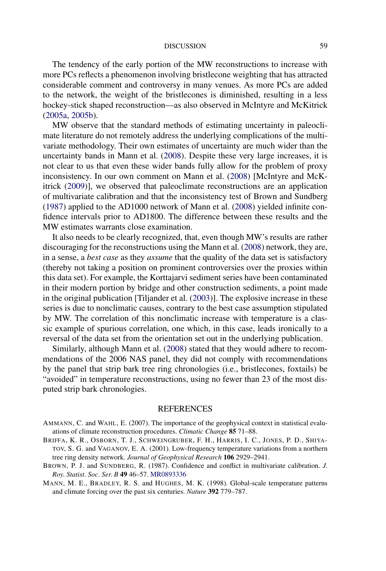#### DISCUSSION 59

<span id="page-3-0"></span>The tendency of the early portion of the MW reconstructions to increase with more PCs reflects a phenomenon involving bristlecone weighting that has attracted considerable comment and controversy in many venues. As more PCs are added to the network, the weight of the bristlecones is diminished, resulting in a less hockey-stick shaped reconstruction—as also observed in McIntyre and McKitrick [\(2005a,](#page-4-0) [2005b\)](#page-4-0).

MW observe that the standard methods of estimating uncertainty in paleoclimate literature do not remotely address the underlying complications of the multivariate methodology. Their own estimates of uncertainty are much wider than the uncertainty bands in Mann et al. [\(2008\)](#page-4-0). Despite these very large increases, it is not clear to us that even these wider bands fully allow for the problem of proxy inconsistency. In our own comment on Mann et al. [\(2008\)](#page-4-0) [McIntyre and McKitrick [\(2009\)](#page-4-0)], we observed that paleoclimate reconstructions are an application of multivariate calibration and that the inconsistency test of Brown and Sundberg (1987) applied to the AD1000 network of Mann et al. [\(2008\)](#page-4-0) yielded infinite confidence intervals prior to AD1800. The difference between these results and the MW estimates warrants close examination.

It also needs to be clearly recognized, that, even though MW's results are rather discouraging for the reconstructions using the Mann et al. [\(2008\)](#page-4-0) network, they are, in a sense, a *best case* as they *assume* that the quality of the data set is satisfactory (thereby not taking a position on prominent controversies over the proxies within this data set). For example, the Korttajarvi sediment series have been contaminated in their modern portion by bridge and other construction sediments, a point made in the original publication [Tiljander et al. [\(2003\)](#page-4-0)]. The explosive increase in these series is due to nonclimatic causes, contrary to the best case assumption stipulated by MW. The correlation of this nonclimatic increase with temperature is a classic example of spurious correlation, one which, in this case, leads ironically to a reversal of the data set from the orientation set out in the underlying publication.

Similarly, although Mann et al. [\(2008\)](#page-4-0) stated that they would adhere to recommendations of the 2006 NAS panel, they did not comply with recommendations by the panel that strip bark tree ring chronologies (i.e., bristlecones, foxtails) be "avoided" in temperature reconstructions, using no fewer than 23 of the most disputed strip bark chronologies.

### **REFERENCES**

- AMMANN, C. and WAHL, E. (2007). The importance of the geophysical context in statistical evaluations of climate reconstruction procedures. *Climatic Change* **85** 71–88.
- BRIFFA, K. R., OSBORN, T. J., SCHWEINGRUBER, F. H., HARRIS, I. C., JONES, P. D., SHIYA-TOV, S. G. and VAGANOV, E. A. (2001). Low-frequency temperature variations from a northern tree ring density network. *Journal of Geophysical Research* **106** 2929–2941.
- BROWN, P. J. and SUNDBERG, R. (1987). Confidence and conflict in multivariate calibration. *J*. *Roy*. *Statist*. *Soc*. *Ser*. *B* **49** 46–57. [MR0893336](http://www.ams.org/mathscinet-getitem?mr=0893336)
- MANN, M. E., BRADLEY, R. S. and HUGHES, M. K. (1998). Global-scale temperature patterns and climate forcing over the past six centuries. *Nature* **392** 779–787.